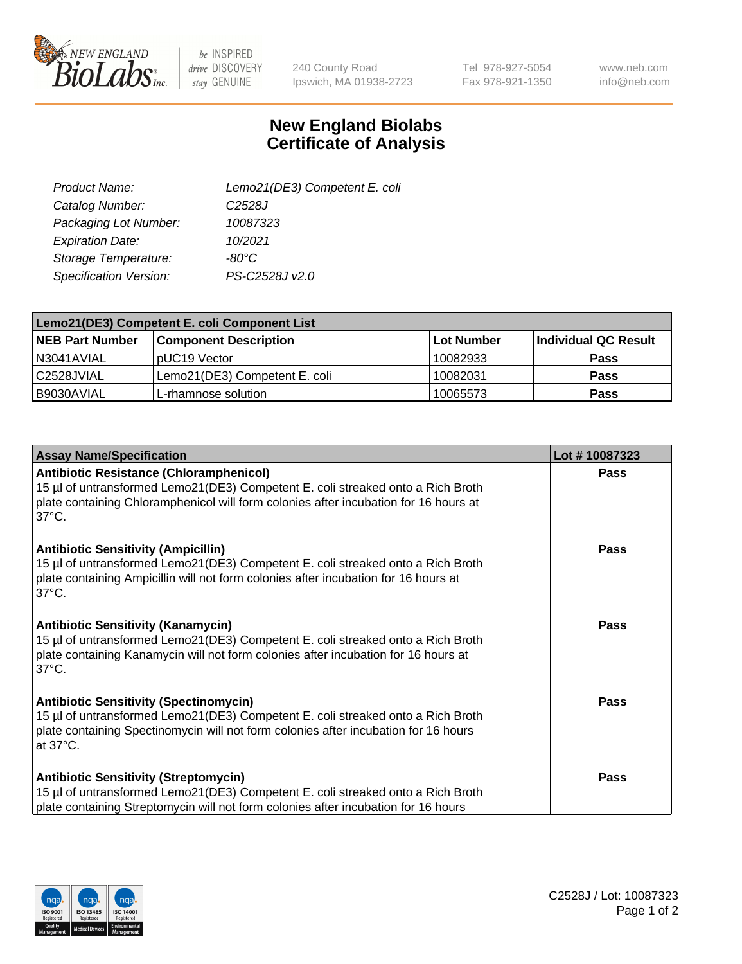

 $be$  INSPIRED drive DISCOVERY stay GENUINE

240 County Road Ipswich, MA 01938-2723 Tel 978-927-5054 Fax 978-921-1350

www.neb.com info@neb.com

## **New England Biolabs Certificate of Analysis**

| Lemo21(DE3) Competent E. coli |
|-------------------------------|
| C <sub>2528</sub> J           |
| 10087323                      |
| 10/2021                       |
| $-80^{\circ}$ C               |
| PS-C2528J v2.0                |
|                               |

| Lemo21(DE3) Competent E. coli Component List |                               |                   |                      |  |
|----------------------------------------------|-------------------------------|-------------------|----------------------|--|
| <b>NEB Part Number</b>                       | <b>Component Description</b>  | <b>Lot Number</b> | Individual QC Result |  |
| I N3041AVIAL                                 | IpUC19 Vector                 | 10082933          | Pass                 |  |
| C2528JVIAL                                   | Lemo21(DE3) Competent E. coli | 10082031          | Pass                 |  |
| B9030AVIAL                                   | L-rhamnose solution           | 10065573          | <b>Pass</b>          |  |

| <b>Assay Name/Specification</b>                                                                                                                                                                                                              | Lot #10087323 |
|----------------------------------------------------------------------------------------------------------------------------------------------------------------------------------------------------------------------------------------------|---------------|
| <b>Antibiotic Resistance (Chloramphenicol)</b><br>15 µl of untransformed Lemo21(DE3) Competent E. coli streaked onto a Rich Broth<br>plate containing Chloramphenicol will form colonies after incubation for 16 hours at<br>$37^{\circ}$ C. | <b>Pass</b>   |
| <b>Antibiotic Sensitivity (Ampicillin)</b><br>15 µl of untransformed Lemo21(DE3) Competent E. coli streaked onto a Rich Broth<br>plate containing Ampicillin will not form colonies after incubation for 16 hours at<br>$37^{\circ}$ C.      | Pass          |
| <b>Antibiotic Sensitivity (Kanamycin)</b><br>15 µl of untransformed Lemo21(DE3) Competent E. coli streaked onto a Rich Broth<br>plate containing Kanamycin will not form colonies after incubation for 16 hours at<br>$37^{\circ}$ C.        | <b>Pass</b>   |
| <b>Antibiotic Sensitivity (Spectinomycin)</b><br>15 µl of untransformed Lemo21(DE3) Competent E. coli streaked onto a Rich Broth<br>plate containing Spectinomycin will not form colonies after incubation for 16 hours<br>at 37°C.          | <b>Pass</b>   |
| <b>Antibiotic Sensitivity (Streptomycin)</b><br>15 µl of untransformed Lemo21(DE3) Competent E. coli streaked onto a Rich Broth<br>plate containing Streptomycin will not form colonies after incubation for 16 hours                        | <b>Pass</b>   |